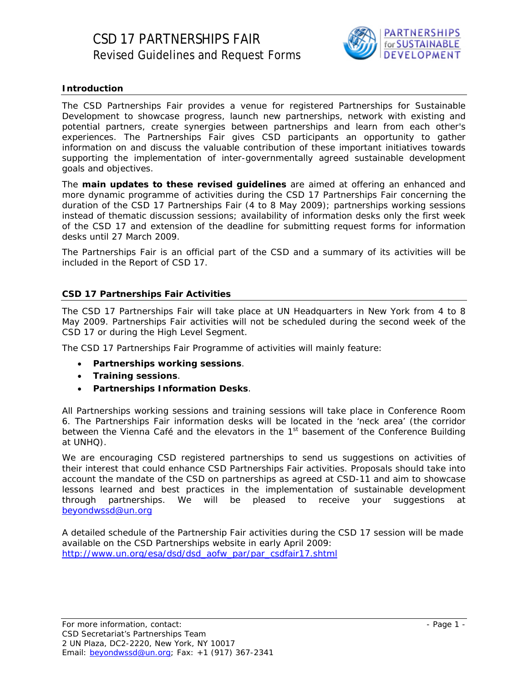

# **Introduction**

The CSD Partnerships Fair provides a venue for registered Partnerships for Sustainable Development to showcase progress, launch new partnerships, network with existing and potential partners, create synergies between partnerships and learn from each other's experiences. The Partnerships Fair gives CSD participants an opportunity to gather information on and discuss the valuable contribution of these important initiatives towards supporting the implementation of inter-governmentally agreed sustainable development goals and objectives.

The **main updates to these revised guidelines** are aimed at offering an enhanced and more dynamic programme of activities during the CSD 17 Partnerships Fair concerning the duration of the CSD 17 Partnerships Fair (4 to 8 May 2009); partnerships working sessions instead of thematic discussion sessions; availability of information desks only the first week of the CSD 17 and extension of the deadline for submitting request forms for information desks until 27 March 2009.

The Partnerships Fair is an official part of the CSD and a summary of its activities will be included in the Report of CSD 17.

## **CSD 17 Partnerships Fair Activities**

The CSD 17 Partnerships Fair will take place at UN Headquarters in New York from 4 to 8 May 2009. Partnerships Fair activities will not be scheduled during the second week of the CSD 17 or during the High Level Segment.

The CSD 17 Partnerships Fair Programme of activities will mainly feature:

- **Partnerships working sessions**.
- **Training sessions**.
- **Partnerships Information Desks**.

All Partnerships working sessions and training sessions will take place in Conference Room 6. The Partnerships Fair information desks will be located in the 'neck area' (the corridor between the Vienna Café and the elevators in the 1<sup>st</sup> basement of the Conference Building at UNHQ).

We are encouraging CSD registered partnerships to send us suggestions on activities of their interest that could enhance CSD Partnerships Fair activities. Proposals should take into account the mandate of the CSD on partnerships as agreed at CSD-11 and aim to showcase lessons learned and best practices in the implementation of sustainable development through partnerships. We will be pleased to receive your suggestions [beyondwssd@un.org](mailto:beyondwssd@un.org)

A detailed schedule of the Partnership Fair activities during the CSD 17 session will be made available on the CSD Partnerships website in early April 2009: [http://www.un.org/esa/dsd/dsd\\_aofw\\_par/par\\_csdfair17.shtml](http://www.un.org/esa/dsd/dsd_aofw_par/par_csdfair17.shtml)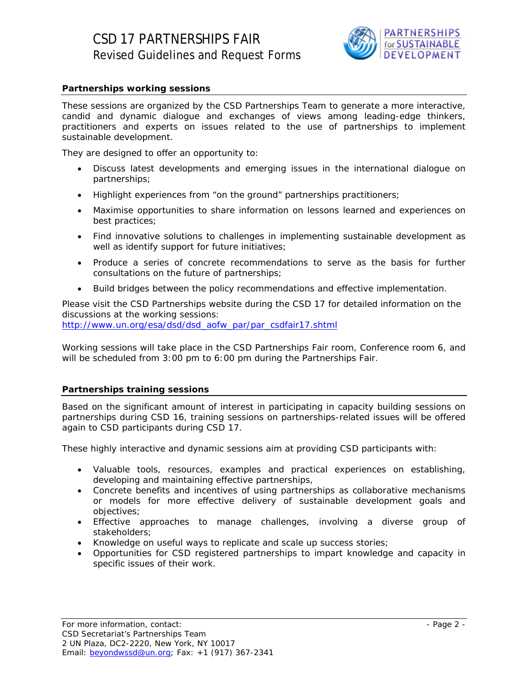

## **Partnerships working sessions**

These sessions are organized by the CSD Partnerships Team to generate a more interactive, candid and dynamic dialogue and exchanges of views among leading-edge thinkers, practitioners and experts on issues related to the use of partnerships to implement sustainable development.

They are designed to offer an opportunity to:

- Discuss latest developments and emerging issues in the international dialogue on partnerships;
- Highlight experiences from "on the ground" partnerships practitioners;
- Maximise opportunities to share information on lessons learned and experiences on best practices;
- Find innovative solutions to challenges in implementing sustainable development as well as identify support for future initiatives;
- Produce a series of concrete recommendations to serve as the basis for further consultations on the future of partnerships;
- Build bridges between the policy recommendations and effective implementation.

Please visit the CSD Partnerships website during the CSD 17 for detailed information on the discussions at the working sessions:

[http://www.un.org/esa/dsd/dsd\\_aofw\\_par/par\\_csdfair17.shtml](http://www.un.org/esa/dsd/dsd_aofw_par/par_csdfair17.shtml)

Working sessions will take place in the CSD Partnerships Fair room, Conference room 6, and will be scheduled from 3:00 pm to 6:00 pm during the Partnerships Fair.

#### **Partnerships training sessions**

Based on the significant amount of interest in participating in capacity building sessions on partnerships during CSD 16, training sessions on partnerships-related issues will be offered again to CSD participants during CSD 17.

These highly interactive and dynamic sessions aim at providing CSD participants with:

- Valuable tools, resources, examples and practical experiences on establishing, developing and maintaining effective partnerships,
- Concrete benefits and incentives of using partnerships as collaborative mechanisms or models for more effective delivery of sustainable development goals and objectives;
- Effective approaches to manage challenges, involving a diverse group of stakeholders;
- Knowledge on useful ways to replicate and scale up success stories;
- Opportunities for CSD registered partnerships to impart knowledge and capacity in specific issues of their work.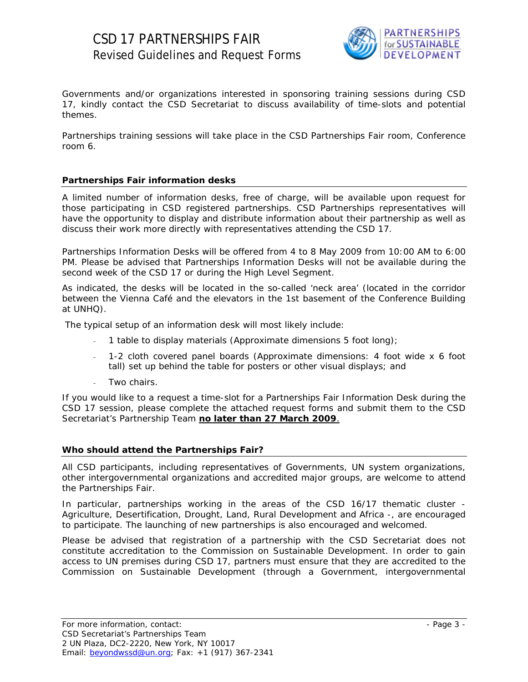

Governments and/or organizations interested in sponsoring training sessions during CSD 17, kindly contact the CSD Secretariat to discuss availability of time-slots and potential themes.

Partnerships training sessions will take place in the CSD Partnerships Fair room, Conference room 6.

## **Partnerships Fair information desks**

A limited number of information desks, free of charge, will be available upon request for those participating in CSD registered partnerships. CSD Partnerships representatives will have the opportunity to display and distribute information about their partnership as well as discuss their work more directly with representatives attending the CSD 17.

Partnerships Information Desks will be offered from 4 to 8 May 2009 from 10:00 AM to 6:00 PM. Please be advised that Partnerships Information Desks will not be available during the second week of the CSD 17 or during the High Level Segment.

As indicated, the desks will be located in the so-called 'neck area' (located in the corridor between the Vienna Café and the elevators in the 1st basement of the Conference Building at UNHQ).

The typical setup of an information desk will most likely include:

- 1 table to display materials (Approximate dimensions 5 foot long);
- 1-2 cloth covered panel boards (Approximate dimensions: 4 foot wide x 6 foot tall) set up behind the table for posters or other visual displays; and
	- Two chairs.

If you would like to a request a time-slot for a Partnerships Fair Information Desk during the CSD 17 session, please complete the attached request forms and submit them to the CSD Secretariat's Partnership Team **no later than 27 March 2009**.

## **Who should attend the Partnerships Fair?**

All CSD participants, including representatives of Governments, UN system organizations, other intergovernmental organizations and accredited major groups, are welcome to attend the Partnerships Fair.

In particular, partnerships working in the areas of the CSD 16/17 thematic cluster - Agriculture, Desertification, Drought, Land, Rural Development and Africa -, are encouraged to participate. The launching of new partnerships is also encouraged and welcomed.

Please be advised that registration of a partnership with the CSD Secretariat does not constitute accreditation to the Commission on Sustainable Development. In order to gain access to UN premises during CSD 17, partners must ensure that they are accredited to the Commission on Sustainable Development (through a Government, intergovernmental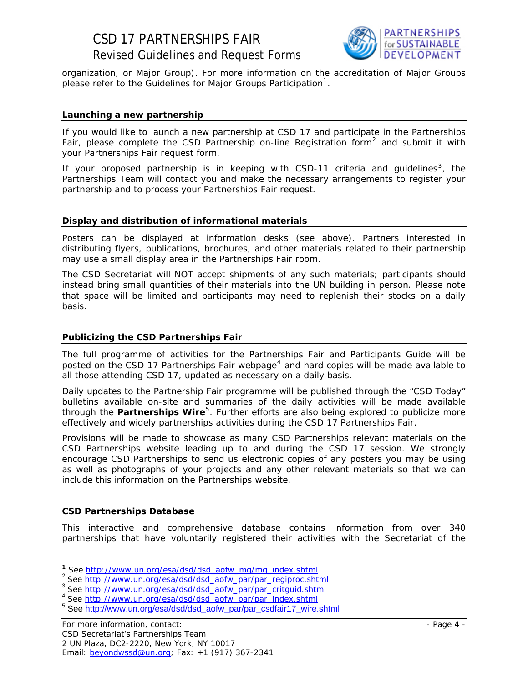# CSD 17 PARTNERSHIPS FAIR Revised Guidelines and Request Forms



organization, or Major Group). For more information on the accreditation of Major Groups please refer to the Guidelines for Major Groups Participation<sup>[1](#page-3-0)</sup>.

#### **Launching a new partnership**

If you would like to launch a new partnership at CSD 17 and participate in the Partnerships Fair, please complete the CSD Partnership on-line Registration form<sup>[2](#page-3-1)</sup> and submit it with your Partnerships Fair request form.

If your proposed partnership is in keeping with CSD-11 criteria and guidelines<sup>[3](#page-3-2)</sup>, the Partnerships Team will contact you and make the necessary arrangements to register your partnership and to process your Partnerships Fair request.

#### **Display and distribution of informational materials**

Posters can be displayed at information desks (see above). Partners interested in distributing flyers, publications, brochures, and other materials related to their partnership may use a small display area in the Partnerships Fair room.

The CSD Secretariat will NOT accept shipments of any such materials; participants should instead bring small quantities of their materials into the UN building in person. Please note that space will be limited and participants may need to replenish their stocks on a daily basis.

#### **Publicizing the CSD Partnerships Fair**

The full programme of activities for the Partnerships Fair and Participants Guide will be posted on the CSD 17 Partnerships Fair webpage<sup>[4](#page-3-3)</sup> and hard copies will be made available to all those attending CSD 17, updated as necessary on a daily basis.

Daily updates to the Partnership Fair programme will be published through the "CSD Today" bulletins available on-site and summaries of the daily activities will be made available through the *Partnerships Wire<sup>[5](#page-3-4)</sup>*. Further efforts are also being explored to publicize more effectively and widely partnerships activities during the CSD 17 Partnerships Fair.

Provisions will be made to showcase as many CSD Partnerships relevant materials on the CSD Partnerships website leading up to and during the CSD 17 session. We strongly encourage CSD Partnerships to send us electronic copies of any posters you may be using as well as photographs of your projects and any other relevant materials so that we can include this information on the Partnerships website.

#### **CSD Partnerships Database**

 $\overline{a}$ 

This interactive and comprehensive database contains information from over 340 partnerships that have voluntarily registered their activities with the Secretariat of the

<span id="page-3-2"></span><span id="page-3-1"></span>

<span id="page-3-0"></span><sup>&</sup>lt;sup>1</sup> See [http://www.un.org/esa/dsd/dsd\\_aofw\\_mg/mg\\_index.shtml](http://www.un.org/esa/dsd/dsd_aofw_mg/mg_index.shtml)<br>
<sup>2</sup> See <u>http://www.un.org/esa/dsd/dsd\_aofw\_par/par\_regiproc.shtml</u><br>
<sup>3</sup> See <u>http://www.un.org/esa/dsd/dsd\_aofw\_par/par\_critguid.shtml</u><br>
<sup>4</sup> See <u>http://www.un</u>

<span id="page-3-3"></span>

<span id="page-3-4"></span><sup>&</sup>lt;sup>5</sup> See [http://www.un.org/esa/dsd/dsd\\_aofw\\_par/par\\_csdfair17\\_wire.shtml](http://www.un.org/esa/dsd/dsd_aofw_par/par_csdfair17_wire.shtml)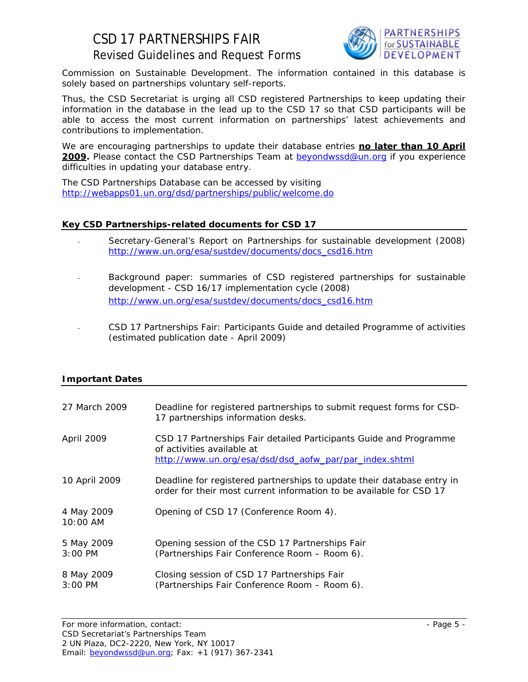# CSD 17 PARTNERSHIPS FAIR Revised Guidelines and Request Forms



Commission on Sustainable Development. The information contained in this database is solely based on partnerships voluntary self-reports.

Thus, the CSD Secretariat is urging all CSD registered Partnerships to keep updating their information in the database in the lead up to the CSD 17 so that CSD participants will be able to access the most current information on partnerships' latest achievements and contributions to implementation.

We are encouraging partnerships to update their database entries **no later than 10 April**  2009. Please contact the CSD Partnerships Team at **[beyondwssd@un.org](mailto:beyondwssd@un.org)** if you experience difficulties in updating your database entry.

The CSD Partnerships Database can be accessed by visiting <http://webapps01.un.org/dsd/partnerships/public/welcome.do>

# **Key CSD Partnerships-related documents for CSD 17**

- Secretary-General's Report on Partnerships for sustainable development (2008) [http://www.un.org/esa/sustdev/documents/docs\\_csd16.htm](http://www.un.org/esa/sustdev/documents/docs_csd16.htm)
- Background paper: summaries of CSD registered partnerships for sustainable development - CSD 16/17 implementation cycle (2008) [http://www.un.org/esa/sustdev/documents/docs\\_csd16.htm](http://www.un.org/esa/sustdev/documents/docs_csd16.htm)
- CSD 17 Partnerships Fair: Participants Guide and detailed Programme of activities (estimated publication date - April 2009)

## **Important Dates**

| 27 March 2009                     | Deadline for registered partnerships to submit request forms for CSD-<br>17 partnerships information desks.                                                |
|-----------------------------------|------------------------------------------------------------------------------------------------------------------------------------------------------------|
| April 2009                        | CSD 17 Partnerships Fair detailed Participants Guide and Programme<br>of activities available at<br>http://www.un.org/esa/dsd/dsd_aofw_par/par_index.shtml |
| 10 April 2009                     | Deadline for registered partnerships to update their database entry in<br>order for their most current information to be available for CSD 17              |
| 4 May 2009<br>$10:00$ AM          | Opening of CSD 17 (Conference Room 4).                                                                                                                     |
| 5 May 2009<br>$3:00 \, \text{PM}$ | Opening session of the CSD 17 Partnerships Fair<br>(Partnerships Fair Conference Room – Room 6).                                                           |
| 8 May 2009<br>$3:00 \, \text{PM}$ | Closing session of CSD 17 Partnerships Fair<br>(Partnerships Fair Conference Room - Room 6).                                                               |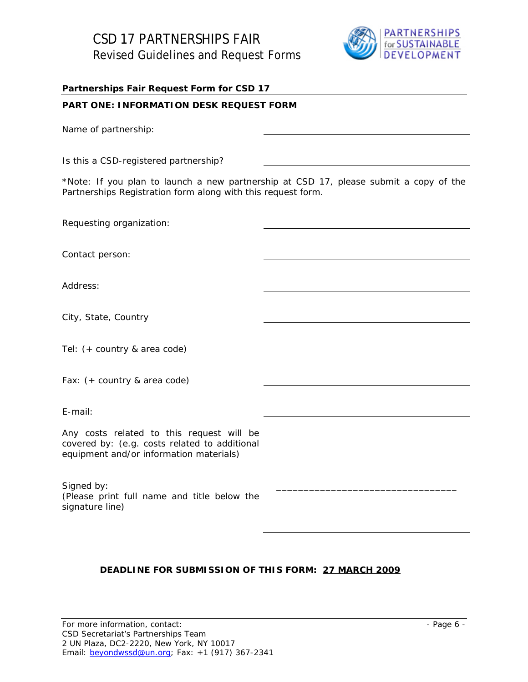

#### **Partnerships Fair Request Form for CSD 17**

## **PART ONE: INFORMATION DESK REQUEST FORM**

Name of partnership:

Is this a CSD-registered partnership?

\**Note: If you plan to launch a new partnership at CSD 17, please submit a copy of the Partnerships Registration form along with this request form.*

Requesting organization: Contact person: Address: City, State, Country Tel: (+ country & area code) Fax: (+ country & area code) E-mail: Any costs related to this request will be covered by: (e.g. costs related to additional equipment and/or information materials) Signed by: (*Please print full name and title below the signature line)*  \_\_\_\_\_\_\_\_\_\_\_\_\_\_\_\_\_\_\_\_\_\_\_\_\_\_\_\_\_\_\_\_\_

## **DEADLINE FOR SUBMISSION OF THIS FORM: 27 MARCH 2009**